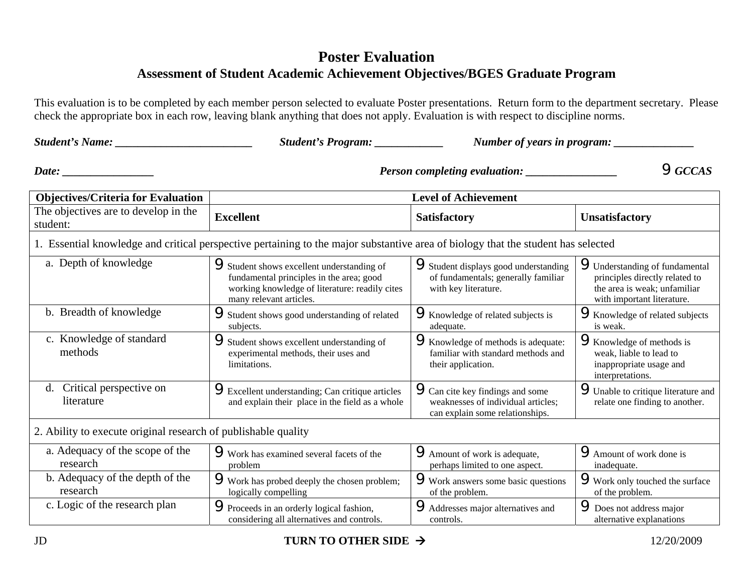## **Poster Evaluation Assessment of Student Academic Achievement Objectives/BGES Graduate Program**

This evaluation is to be completed by each member person selected to evaluate Poster presentations. Return form to the department secretary. Please check the appropriate box in each row, leaving blank anything that does not apply. Evaluation is with respect to discipline norms.

| <b>Student's Name:</b>                                                                                                                      | Student's Program: __________                                                                                                                                     | Number of years in program:                                                                                      |                                                                                                                                       |  |
|---------------------------------------------------------------------------------------------------------------------------------------------|-------------------------------------------------------------------------------------------------------------------------------------------------------------------|------------------------------------------------------------------------------------------------------------------|---------------------------------------------------------------------------------------------------------------------------------------|--|
| Date: $\_\_$<br><u> Alexandria (Carlo Carlo) (Carlo Carlo) (Carlo Carlo) (Carlo Carlo) (Carlo Carlo) (Carlo Carlo) (Carlo Carlo) (Carlo</u> | $\mathbf{Q}$ GCCAS<br><b>Person completing evaluation:</b>                                                                                                        |                                                                                                                  |                                                                                                                                       |  |
| <b>Objectives/Criteria for Evaluation</b>                                                                                                   | <b>Level of Achievement</b>                                                                                                                                       |                                                                                                                  |                                                                                                                                       |  |
| The objectives are to develop in the<br>student:                                                                                            | <b>Excellent</b>                                                                                                                                                  | <b>Satisfactory</b>                                                                                              | <b>Unsatisfactory</b>                                                                                                                 |  |
|                                                                                                                                             | 1. Essential knowledge and critical perspective pertaining to the major substantive area of biology that the student has selected                                 |                                                                                                                  |                                                                                                                                       |  |
| a. Depth of knowledge                                                                                                                       | Student shows excellent understanding of<br>fundamental principles in the area; good<br>working knowledge of literature: readily cites<br>many relevant articles. | Student displays good understanding<br>of fundamentals; generally familiar<br>with key literature.               | <b>S</b> Understanding of fundamental<br>principles directly related to<br>the area is weak; unfamiliar<br>with important literature. |  |
| b. Breadth of knowledge                                                                                                                     | Student shows good understanding of related<br>subjects.                                                                                                          | <b>W</b><br>Knowledge of related subjects is<br>adequate.                                                        | <b>Whowledge of related subjects</b><br>is weak.                                                                                      |  |
| c. Knowledge of standard<br>methods                                                                                                         | Student shows excellent understanding of<br>experimental methods, their uses and<br>limitations.                                                                  | <b>W</b> howledge of methods is adequate:<br>familiar with standard methods and<br>their application.            | <b>W</b> Knowledge of methods is<br>weak, liable to lead to<br>inappropriate usage and<br>interpretations.                            |  |
| d. Critical perspective on<br>literature                                                                                                    | <b>PExcellent understanding; Can critique articles</b><br>and explain their place in the field as a whole                                                         | <b>9</b> Can cite key findings and some<br>weaknesses of individual articles;<br>can explain some relationships. | <b>S</b> Unable to critique literature and<br>relate one finding to another.                                                          |  |
| 2. Ability to execute original research of publishable quality                                                                              |                                                                                                                                                                   |                                                                                                                  |                                                                                                                                       |  |
| a. Adequacy of the scope of the<br>research                                                                                                 | Work has examined several facets of the<br>problem                                                                                                                | <b>Amount of work is adequate,</b><br>perhaps limited to one aspect.                                             | <b>P</b> Amount of work done is<br>inadequate.                                                                                        |  |
| b. Adequacy of the depth of the<br>research                                                                                                 | Work has probed deeply the chosen problem;<br>logically compelling                                                                                                | Work answers some basic questions<br>of the problem.                                                             | Work only touched the surface<br>of the problem.                                                                                      |  |
| c. Logic of the research plan                                                                                                               | Proceeds in an orderly logical fashion,<br>considering all alternatives and controls.                                                                             | Addresses major alternatives and<br>controls.                                                                    | <b>P</b> Does not address major<br>alternative explanations                                                                           |  |